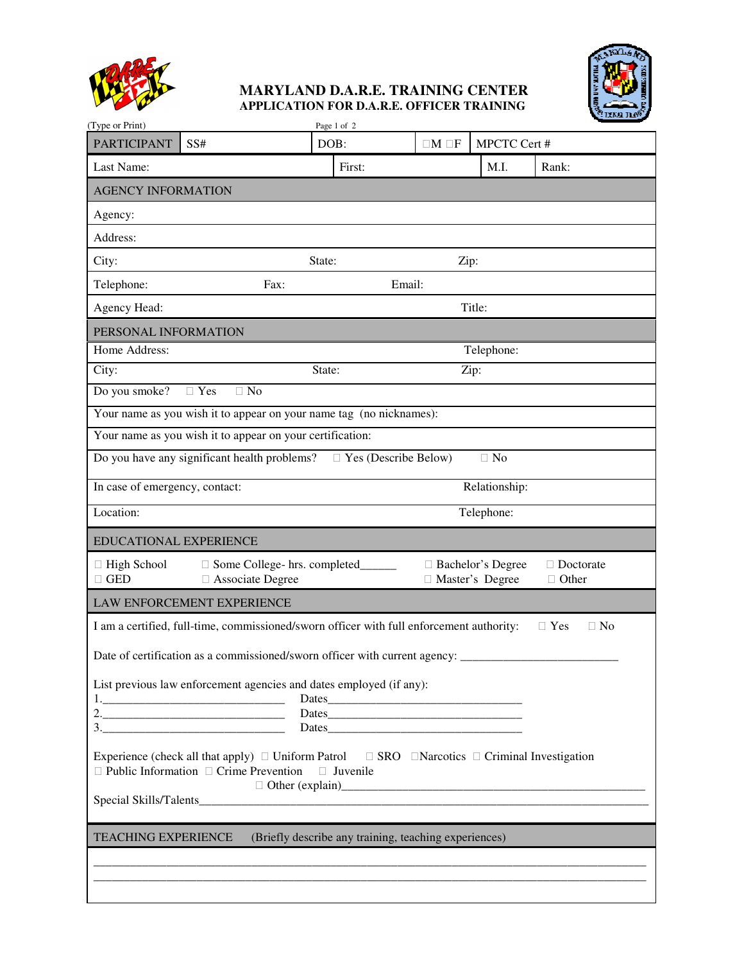

## **MARYLAND D.A.R.E. TRAINING CENTER APPLICATION FOR D.A.R.E. OFFICER TRAINING**



| (Type or Print)                                                                                                                                          |                                                                                                                                                                                                                                                                                                                                                                                                                                                                                                                 |                | Page 1 of 2 |       |      |                                      |                    |  |  |
|----------------------------------------------------------------------------------------------------------------------------------------------------------|-----------------------------------------------------------------------------------------------------------------------------------------------------------------------------------------------------------------------------------------------------------------------------------------------------------------------------------------------------------------------------------------------------------------------------------------------------------------------------------------------------------------|----------------|-------------|-------|------|--------------------------------------|--------------------|--|--|
| <b>PARTICIPANT</b>                                                                                                                                       | SS#                                                                                                                                                                                                                                                                                                                                                                                                                                                                                                             |                | DOB:        | $M$ F |      | MPCTC Cert #                         |                    |  |  |
| Last Name:                                                                                                                                               |                                                                                                                                                                                                                                                                                                                                                                                                                                                                                                                 |                | First:      |       |      | M.I.                                 | Rank:              |  |  |
| <b>AGENCY INFORMATION</b>                                                                                                                                |                                                                                                                                                                                                                                                                                                                                                                                                                                                                                                                 |                |             |       |      |                                      |                    |  |  |
| Agency:                                                                                                                                                  |                                                                                                                                                                                                                                                                                                                                                                                                                                                                                                                 |                |             |       |      |                                      |                    |  |  |
| Address:                                                                                                                                                 |                                                                                                                                                                                                                                                                                                                                                                                                                                                                                                                 |                |             |       |      |                                      |                    |  |  |
| City:                                                                                                                                                    |                                                                                                                                                                                                                                                                                                                                                                                                                                                                                                                 | State:         |             |       | Zip: |                                      |                    |  |  |
| Telephone:                                                                                                                                               | Fax:                                                                                                                                                                                                                                                                                                                                                                                                                                                                                                            |                | Email:      |       |      |                                      |                    |  |  |
| Agency Head:                                                                                                                                             |                                                                                                                                                                                                                                                                                                                                                                                                                                                                                                                 |                |             |       |      | Title:                               |                    |  |  |
| PERSONAL INFORMATION                                                                                                                                     |                                                                                                                                                                                                                                                                                                                                                                                                                                                                                                                 |                |             |       |      |                                      |                    |  |  |
| Home Address:                                                                                                                                            |                                                                                                                                                                                                                                                                                                                                                                                                                                                                                                                 |                |             |       |      | Telephone:                           |                    |  |  |
| City:                                                                                                                                                    |                                                                                                                                                                                                                                                                                                                                                                                                                                                                                                                 | State:<br>Zip: |             |       |      |                                      |                    |  |  |
| Do you smoke?                                                                                                                                            | Yes<br>N <sub>o</sub>                                                                                                                                                                                                                                                                                                                                                                                                                                                                                           |                |             |       |      |                                      |                    |  |  |
| Your name as you wish it to appear on your name tag (no nicknames):                                                                                      |                                                                                                                                                                                                                                                                                                                                                                                                                                                                                                                 |                |             |       |      |                                      |                    |  |  |
| Your name as you wish it to appear on your certification:                                                                                                |                                                                                                                                                                                                                                                                                                                                                                                                                                                                                                                 |                |             |       |      |                                      |                    |  |  |
| Do you have any significant health problems?<br>Yes (Describe Below)<br>No                                                                               |                                                                                                                                                                                                                                                                                                                                                                                                                                                                                                                 |                |             |       |      |                                      |                    |  |  |
| In case of emergency, contact:<br>Relationship:                                                                                                          |                                                                                                                                                                                                                                                                                                                                                                                                                                                                                                                 |                |             |       |      |                                      |                    |  |  |
| Location:                                                                                                                                                |                                                                                                                                                                                                                                                                                                                                                                                                                                                                                                                 |                |             |       |      | Telephone:                           |                    |  |  |
| <b>EDUCATIONAL EXPERIENCE</b>                                                                                                                            |                                                                                                                                                                                                                                                                                                                                                                                                                                                                                                                 |                |             |       |      |                                      |                    |  |  |
| <b>High School</b><br><b>GED</b>                                                                                                                         | Some College- hrs. completed_<br><b>Associate Degree</b>                                                                                                                                                                                                                                                                                                                                                                                                                                                        |                |             |       |      | Bachelor's Degree<br>Master's Degree | Doctorate<br>Other |  |  |
|                                                                                                                                                          |                                                                                                                                                                                                                                                                                                                                                                                                                                                                                                                 |                |             |       |      |                                      |                    |  |  |
| LAW ENFORCEMENT EXPERIENCE                                                                                                                               |                                                                                                                                                                                                                                                                                                                                                                                                                                                                                                                 |                |             |       |      |                                      |                    |  |  |
| I am a certified, full-time, commissioned/sworn officer with full enforcement authority:<br>Yes<br>No                                                    |                                                                                                                                                                                                                                                                                                                                                                                                                                                                                                                 |                |             |       |      |                                      |                    |  |  |
|                                                                                                                                                          | Date of certification as a commissioned/sworn officer with current agency: ____                                                                                                                                                                                                                                                                                                                                                                                                                                 |                |             |       |      |                                      |                    |  |  |
|                                                                                                                                                          | List previous law enforcement agencies and dates employed (if any):                                                                                                                                                                                                                                                                                                                                                                                                                                             |                |             |       |      |                                      |                    |  |  |
|                                                                                                                                                          |                                                                                                                                                                                                                                                                                                                                                                                                                                                                                                                 |                |             |       |      |                                      |                    |  |  |
|                                                                                                                                                          | 2.                                                                                                                                                                                                                                                                                                                                                                                                                                                                                                              |                |             |       |      |                                      |                    |  |  |
|                                                                                                                                                          | $\begin{array}{c} 3. \qquad \qquad \text{---} \qquad \qquad \text{---} \qquad \qquad \text{---} \qquad \qquad \text{---} \qquad \text{---} \qquad \text{---} \qquad \qquad \text{---} \qquad \qquad \text{---} \qquad \text{---} \qquad \text{---} \qquad \text{---} \qquad \text{---} \qquad \text{---} \qquad \text{---} \qquad \text{---} \qquad \text{---} \qquad \text{---} \qquad \text{---} \qquad \text{---} \qquad \text{---} \qquad \text{---} \qquad \text{---} \qquad \text{---} \qquad \text{---}$ |                |             |       |      |                                      |                    |  |  |
| Experience (check all that apply) Uniform Patrol<br>SRO<br><b>Narcotics</b><br>Criminal Investigation<br>Public Information Crime Prevention<br>Juvenile |                                                                                                                                                                                                                                                                                                                                                                                                                                                                                                                 |                |             |       |      |                                      |                    |  |  |
|                                                                                                                                                          |                                                                                                                                                                                                                                                                                                                                                                                                                                                                                                                 |                |             |       |      |                                      |                    |  |  |
|                                                                                                                                                          |                                                                                                                                                                                                                                                                                                                                                                                                                                                                                                                 |                |             |       |      |                                      |                    |  |  |
| (Briefly describe any training, teaching experiences)<br><b>TEACHING EXPERIENCE</b>                                                                      |                                                                                                                                                                                                                                                                                                                                                                                                                                                                                                                 |                |             |       |      |                                      |                    |  |  |
|                                                                                                                                                          |                                                                                                                                                                                                                                                                                                                                                                                                                                                                                                                 |                |             |       |      |                                      |                    |  |  |
|                                                                                                                                                          |                                                                                                                                                                                                                                                                                                                                                                                                                                                                                                                 |                |             |       |      |                                      |                    |  |  |